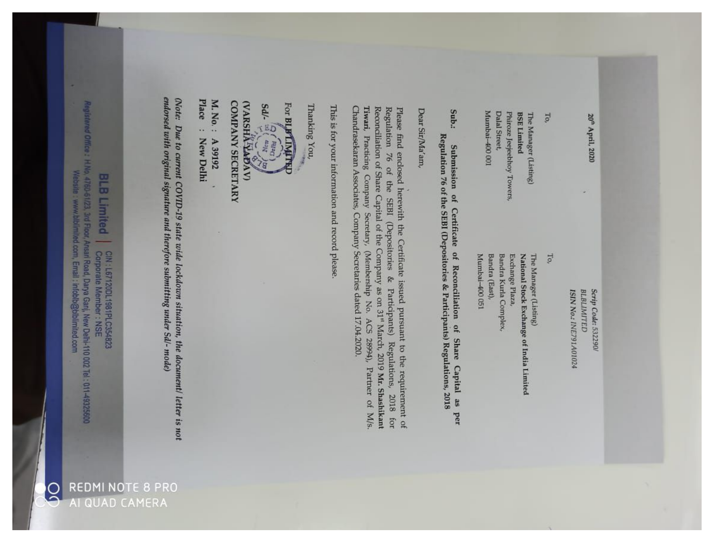20<sup>th</sup> April, 2020

Scrip Code: 532290/ **BLBLIMITED** ISIN No.: INE791A01024

To,

Mumbai-400 051 Bandra (East), Bandra Kurla Complex, National Stock Exchange of India Limited The Manager (Listing) Exchange Plaza,

Mumbai-400 001 **Dalal Street** 

Phiroze Jeejeebhoy Towers,

**BSE Limited** 

The Manager (Listing)

To,

Sub.: Regulation 76 of the SEBI (Depositories & Participants) Regulations, 2018 Submission of Certificate of Reconciliation of Share Capital as per

Dear Sir/Ma'am,

Chandrasekaran Associates, Company Secretaries dated 17.04.2020. Tiwari, Practicing Company Secretary, (Membership No. ACS 28994), Partner of M/s Reconciliation of Share Capital of the Company as on 31<sup>st</sup> March, 2019 Mr. Shashikant Regulation 76 of the SEBI (Depositories & Participants) Regulations, 2018 for Please find enclosed herewith the Certificate issued pursuant to the requirement of

This is for your information and record please.

Thanking You

Sdl kal For BLIFTINGTR **PAY Hop** 

**WARSHAPAV COMPANY SECRETARY** 

78

Place M. No.: A 39192 s. **New Delhi** 

endorsed with original signature and therefore submitting under Sd'- mode) (Note: Due to current COVID-19 state wide lockdown situation, the document/ letter is not

red Office: H.No. 4760-61/23, 3rd Floor, Ansari Road, Darya Ganj, New Delhi-110 002 Tel: 011-49325600 Website : www.bblimited.com, Emall : infoblb@blblimited.com **BLB Limited** CIN : L67120DL1981PLC354823<br>Corporate Member : NSE

**REDMI NOTE 8 PRC** 

AI QUAD CAMERA

 $\tilde{\mathbf{C}}$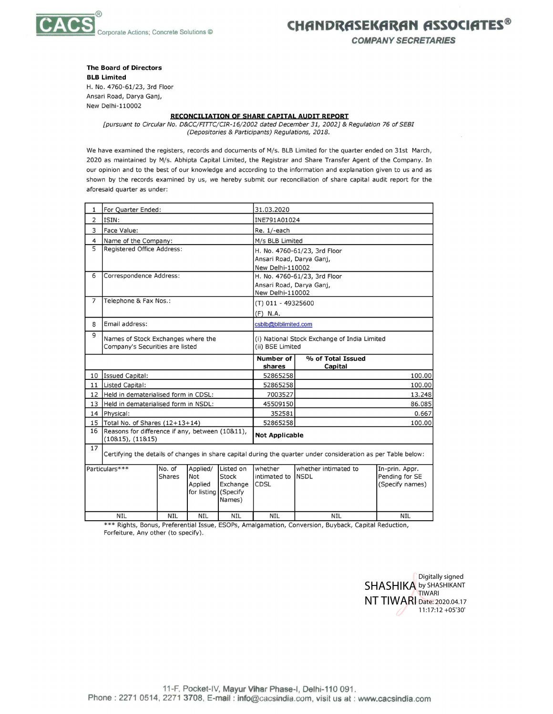

CHANDRASEKARAN ASSOCIATES®

**COMPANY SECRETARIES** 

**The Board of Directors** 

**BLB Limited** H. No. 4760-61/23, 3rd Floor Ansari Road, Darya Ganj, New Delhi-110002

## **RECONCILIATION OF SHARE CAPITAL AUDIT REPORT**

[pursuant to Circular No. D&CC/FITTC/CIR-16/2002 dated December 31, 2002] & Regulation 76 of SEBI (Depositories & Participants) Regulations, 2018.

We have examined the registers, records and documents of M/s. BLB Limited for the quarter ended on 31st March, 2020 as maintained by M/s. Abhipta Capital Limited, the Registrar and Share Transfer Agent of the Company. In our opinion and to the best of our knowledge and according to the information and explanation given to us and as shown by the records examined by us, we hereby submit our reconciliation of share capital audit report for the aforesaid quarter as under:

| 1                                                                                                             | For Quarter Ended:                                                  |               |                      | 31.03.2020                                   |                             |                              |                                   |
|---------------------------------------------------------------------------------------------------------------|---------------------------------------------------------------------|---------------|----------------------|----------------------------------------------|-----------------------------|------------------------------|-----------------------------------|
| 2                                                                                                             | ISIN:                                                               |               |                      |                                              | INE791A01024                |                              |                                   |
| 3                                                                                                             | Face Value:                                                         |               |                      |                                              | Re. 1/-each                 |                              |                                   |
| 4                                                                                                             | Name of the Company:                                                |               |                      |                                              | M/s BLB Limited             |                              |                                   |
| 5                                                                                                             | Registered Office Address:                                          |               |                      |                                              |                             | H. No. 4760-61/23, 3rd Floor |                                   |
|                                                                                                               |                                                                     |               |                      |                                              | Ansari Road, Darya Ganj,    |                              |                                   |
|                                                                                                               |                                                                     |               |                      | New Delhi-110002                             |                             |                              |                                   |
| 6                                                                                                             | Correspondence Address:                                             |               |                      | H. No. 4760-61/23, 3rd Floor                 |                             |                              |                                   |
|                                                                                                               |                                                                     |               |                      |                                              | Ansari Road, Darya Ganj,    |                              |                                   |
| 7                                                                                                             | Telephone & Fax Nos.:                                               |               |                      | New Delhi-110002                             |                             |                              |                                   |
|                                                                                                               |                                                                     |               |                      | (T) 011 - 49325600                           |                             |                              |                                   |
|                                                                                                               |                                                                     |               |                      |                                              | $(F)$ N.A.                  |                              |                                   |
| 8                                                                                                             | Email address:                                                      |               |                      | csblb@blblimited.com                         |                             |                              |                                   |
| 9                                                                                                             | Names of Stock Exchanges where the                                  |               |                      | (i) National Stock Exchange of India Limited |                             |                              |                                   |
|                                                                                                               | Company's Securities are listed                                     |               | (ii) BSE Limited     |                                              |                             |                              |                                   |
|                                                                                                               |                                                                     |               |                      |                                              | <b>Number of</b>            | % of Total Issued            |                                   |
|                                                                                                               |                                                                     |               |                      |                                              | shares                      | Capital                      |                                   |
| 10                                                                                                            | <b>Issued Capital:</b>                                              |               |                      |                                              | 52865258                    |                              | 100.00                            |
| 11                                                                                                            | Listed Capital:                                                     |               |                      | 52865258                                     |                             | 100.00                       |                                   |
| 12                                                                                                            | Held in dematerialised form in CDSL:                                |               |                      | 7003527                                      |                             | 13.248                       |                                   |
| 13                                                                                                            | Held in dematerialised form in NSDL:                                |               |                      |                                              | 45509150                    |                              | 86.085                            |
| 14                                                                                                            | Physical:                                                           |               |                      | 352581                                       |                             | 0.667                        |                                   |
| 15                                                                                                            | Total No. of Shares (12+13+14)                                      |               |                      |                                              | 52865258                    |                              | 100.00                            |
| 16                                                                                                            | Reasons for difference if any, between (10&11),<br>(10815), (11815) |               |                      | <b>Not Applicable</b>                        |                             |                              |                                   |
| 17                                                                                                            |                                                                     |               |                      |                                              |                             |                              |                                   |
| Certifying the details of changes in share capital during the quarter under consideration as per Table below: |                                                                     |               |                      |                                              |                             |                              |                                   |
| Particulars***                                                                                                |                                                                     | No. of        | Applied/             | Listed on                                    | whether                     | whether intimated to         | In-prin. Appr.                    |
|                                                                                                               |                                                                     | <b>Shares</b> | Not<br>Applied       | Stock<br>Exchange                            | intimated to<br><b>CDSL</b> | <b>NSDL</b>                  | Pending for SE<br>(Specify names) |
|                                                                                                               |                                                                     |               | for listing (Specify |                                              |                             |                              |                                   |
|                                                                                                               |                                                                     |               |                      | Names)                                       |                             |                              |                                   |
|                                                                                                               |                                                                     |               |                      |                                              |                             |                              |                                   |
| <b>NIL</b><br><b>NIL</b><br><b>NIL</b><br><b>NIL</b>                                                          |                                                                     |               | <b>NIL</b>           | <b>NIL</b>                                   | <b>NIL</b>                  |                              |                                   |

\*\*\* Rights, Bonus, Preferential Issue, ESOPs, Amalgamation, Conversion, Buyback, Capital Reduction, Forfeiture, Any other (to specify).

> Digitally signed **SHASHIKA** by SHASHIKANT TIWARI NT TIWARI Date: 2020.04.17 11:17:12 +05'30'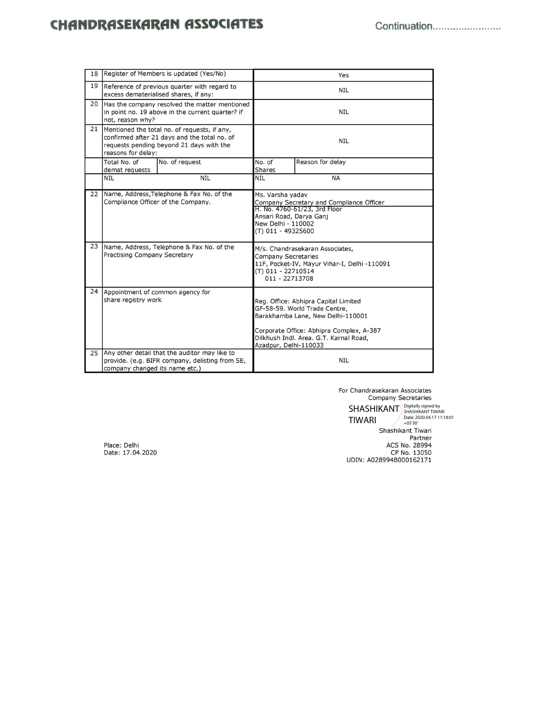## **CHANDRASEKARAN ASSOCIATES**

| 18 |                                                                                                                                                                | Register of Members is updated (Yes/No) | Yes                                                                                                                                                                                                                       |                  |  |
|----|----------------------------------------------------------------------------------------------------------------------------------------------------------------|-----------------------------------------|---------------------------------------------------------------------------------------------------------------------------------------------------------------------------------------------------------------------------|------------------|--|
| 19 | Reference of previous quarter with regard to<br>excess dematerialised shares, if any:                                                                          |                                         | <b>NIL</b>                                                                                                                                                                                                                |                  |  |
|    | 20 Has the company resolved the matter mentioned<br>in point no. 19 above in the current quarter? if<br>not, reason why?                                       |                                         | <b>NIL</b>                                                                                                                                                                                                                |                  |  |
| 21 | Mentioned the total no. of requests, if any,<br>confirmed after 21 days and the total no. of<br>requests pending beyond 21 days with the<br>reasons for delay: |                                         | <b>NIL</b>                                                                                                                                                                                                                |                  |  |
|    | Total No. of<br>demat requests                                                                                                                                 | No. of request                          | No. of<br><b>Shares</b>                                                                                                                                                                                                   | Reason for delay |  |
|    | <b>NIL</b>                                                                                                                                                     | <b>NIL</b>                              | <b>NIL</b>                                                                                                                                                                                                                | <b>NA</b>        |  |
| 22 | Name, Address, Telephone & Fax No. of the<br>Compliance Officer of the Company.                                                                                |                                         | Ms. Varsha yadav<br>Company Secretary and Compliance Officer<br>H. No. 4760-61/23, 3rd Floor<br>Ansari Road, Darya Ganj<br>New Delhi - 110002<br>(T) 011 - 49325600                                                       |                  |  |
|    | 23 Name, Address, Telephone & Fax No. of the<br>Practising Company Secretary                                                                                   |                                         | M/s. Chandrasekaran Associates,<br><b>Company Secretaries</b><br>11F, Pocket-IV, Mayur Vihar-I, Delhi -110091<br>(T) 011 - 22710514<br>011 - 22713708                                                                     |                  |  |
| 24 | Appointment of common agency for<br>share registry work                                                                                                        |                                         | Reg. Office: Abhipra Capital Limited<br>GF-58-59. World Trade Centre,<br>Barakhamba Lane, New Delhi-110001<br>Corporate Office: Abhipra Complex, A-387<br>Dilkhush Indl. Area. G.T. Karnal Road,<br>Azadpur, Delhi-110033 |                  |  |
| 25 | Any other detail that the auditor may like to<br>provide. (e.g. BIFR company, delisting from SE,<br>company changed its name etc.)                             |                                         | <b>NIL</b>                                                                                                                                                                                                                |                  |  |

For Chandrasekaran Associates **Company Secretaries** 

 $\begin{array}{r|l|l} \text{SHASHKANT} & \text{Digitally signed by} \\ \text{SHASHKANT} & \text{SHASHKANT TWRRI} \\ \text{The} & \text{Date} : 2020.04.17 11:18:01 \\ \text{Dase} : 2020.04.17 11:18:01 \\ \text{Shashikant Tiwari} \\ \text{Busshikant Tiwari} \end{array}$ Partner Partner<br>ACS No. 28994<br>CP No. 13050<br>UDIN: A028994B000162171

Place: Delhi Date: 17.04.2020